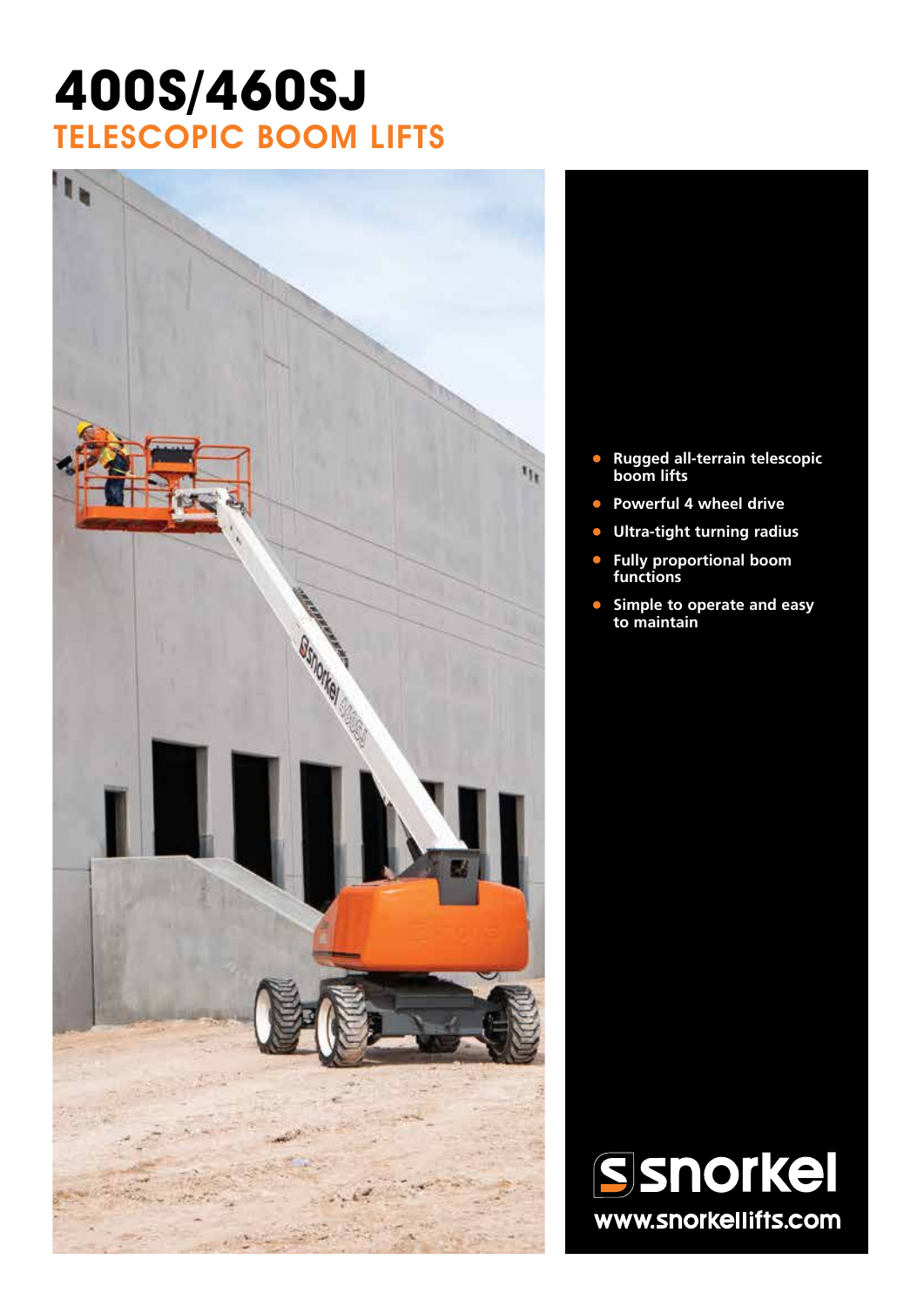## **400s/460SJ** TELESCOPIC BOOM LIFTS



- **• Rugged all-terrain telescopic boom lifts**
- **• Powerful 4 wheel drive**
- **• Ultra-tight turning radius**
- **• Fully proportional boom functions**
- **• Simple to operate and easy to maintain**